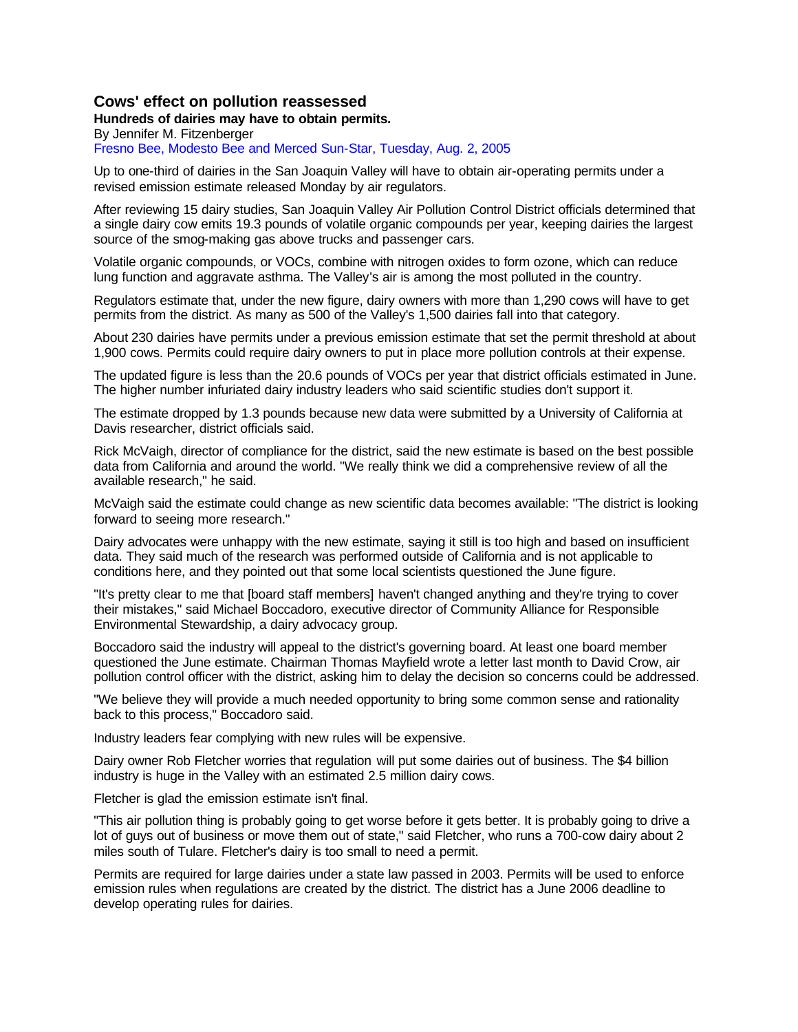### **Cows' effect on pollution reassessed**

#### **Hundreds of dairies may have to obtain permits.**

By Jennifer M. Fitzenberger

Fresno Bee, Modesto Bee and Merced Sun-Star, Tuesday, Aug. 2, 2005

Up to one-third of dairies in the San Joaquin Valley will have to obtain air-operating permits under a revised emission estimate released Monday by air regulators.

After reviewing 15 dairy studies, San Joaquin Valley Air Pollution Control District officials determined that a single dairy cow emits 19.3 pounds of volatile organic compounds per year, keeping dairies the largest source of the smog-making gas above trucks and passenger cars.

Volatile organic compounds, or VOCs, combine with nitrogen oxides to form ozone, which can reduce lung function and aggravate asthma. The Valley's air is among the most polluted in the country.

Regulators estimate that, under the new figure, dairy owners with more than 1,290 cows will have to get permits from the district. As many as 500 of the Valley's 1,500 dairies fall into that category.

About 230 dairies have permits under a previous emission estimate that set the permit threshold at about 1,900 cows. Permits could require dairy owners to put in place more pollution controls at their expense.

The updated figure is less than the 20.6 pounds of VOCs per year that district officials estimated in June. The higher number infuriated dairy industry leaders who said scientific studies don't support it.

The estimate dropped by 1.3 pounds because new data were submitted by a University of California at Davis researcher, district officials said.

Rick McVaigh, director of compliance for the district, said the new estimate is based on the best possible data from California and around the world. "We really think we did a comprehensive review of all the available research," he said.

McVaigh said the estimate could change as new scientific data becomes available: "The district is looking forward to seeing more research."

Dairy advocates were unhappy with the new estimate, saying it still is too high and based on insufficient data. They said much of the research was performed outside of California and is not applicable to conditions here, and they pointed out that some local scientists questioned the June figure.

"It's pretty clear to me that [board staff members] haven't changed anything and they're trying to cover their mistakes," said Michael Boccadoro, executive director of Community Alliance for Responsible Environmental Stewardship, a dairy advocacy group.

Boccadoro said the industry will appeal to the district's governing board. At least one board member questioned the June estimate. Chairman Thomas Mayfield wrote a letter last month to David Crow, air pollution control officer with the district, asking him to delay the decision so concerns could be addressed.

"We believe they will provide a much needed opportunity to bring some common sense and rationality back to this process," Boccadoro said.

Industry leaders fear complying with new rules will be expensive.

Dairy owner Rob Fletcher worries that regulation will put some dairies out of business. The \$4 billion industry is huge in the Valley with an estimated 2.5 million dairy cows.

Fletcher is glad the emission estimate isn't final.

"This air pollution thing is probably going to get worse before it gets better. It is probably going to drive a lot of guys out of business or move them out of state," said Fletcher, who runs a 700-cow dairy about 2 miles south of Tulare. Fletcher's dairy is too small to need a permit.

Permits are required for large dairies under a state law passed in 2003. Permits will be used to enforce emission rules when regulations are created by the district. The district has a June 2006 deadline to develop operating rules for dairies.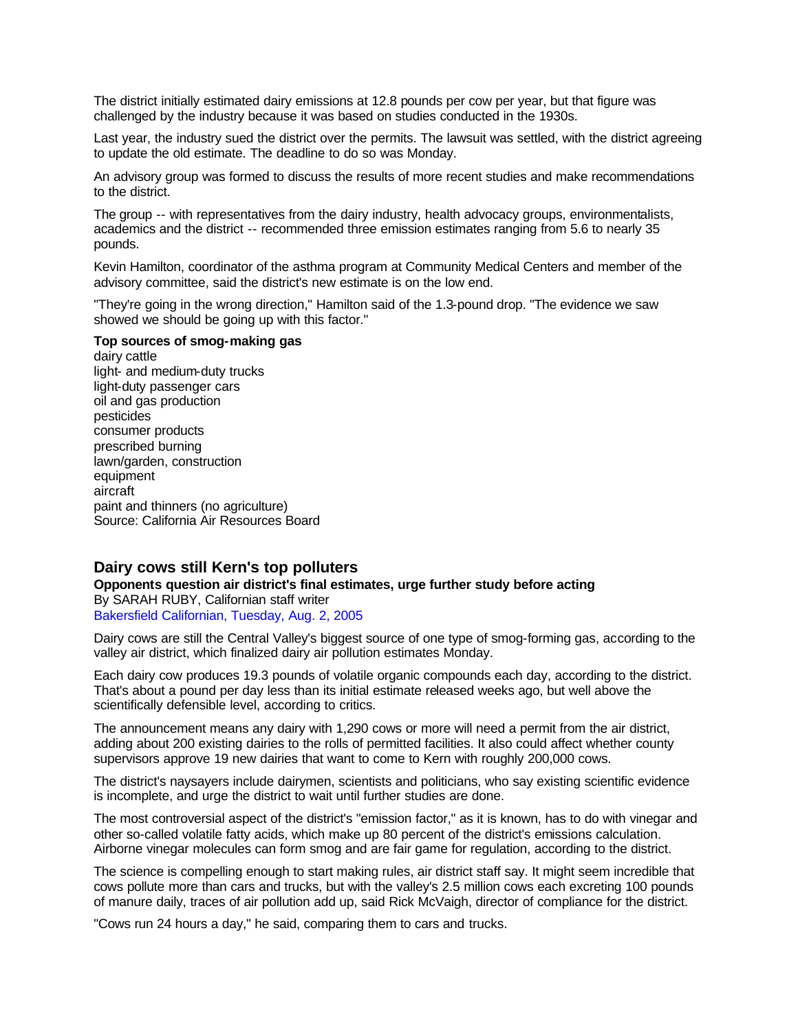The district initially estimated dairy emissions at 12.8 pounds per cow per year, but that figure was challenged by the industry because it was based on studies conducted in the 1930s.

Last year, the industry sued the district over the permits. The lawsuit was settled, with the district agreeing to update the old estimate. The deadline to do so was Monday.

An advisory group was formed to discuss the results of more recent studies and make recommendations to the district.

The group -- with representatives from the dairy industry, health advocacy groups, environmentalists, academics and the district -- recommended three emission estimates ranging from 5.6 to nearly 35 pounds.

Kevin Hamilton, coordinator of the asthma program at Community Medical Centers and member of the advisory committee, said the district's new estimate is on the low end.

"They're going in the wrong direction," Hamilton said of the 1.3-pound drop. "The evidence we saw showed we should be going up with this factor."

#### **Top sources of smog-making gas**

dairy cattle light- and medium-duty trucks light-duty passenger cars oil and gas production pesticides consumer products prescribed burning lawn/garden, construction equipment aircraft paint and thinners (no agriculture) Source: California Air Resources Board

### **Dairy cows still Kern's top polluters**

**Opponents question air district's final estimates, urge further study before acting**  By SARAH RUBY, Californian staff writer Bakersfield Californian, Tuesday, Aug. 2, 2005

Dairy cows are still the Central Valley's biggest source of one type of smog-forming gas, according to the valley air district, which finalized dairy air pollution estimates Monday.

Each dairy cow produces 19.3 pounds of volatile organic compounds each day, according to the district. That's about a pound per day less than its initial estimate released weeks ago, but well above the scientifically defensible level, according to critics.

The announcement means any dairy with 1,290 cows or more will need a permit from the air district, adding about 200 existing dairies to the rolls of permitted facilities. It also could affect whether county supervisors approve 19 new dairies that want to come to Kern with roughly 200,000 cows.

The district's naysayers include dairymen, scientists and politicians, who say existing scientific evidence is incomplete, and urge the district to wait until further studies are done.

The most controversial aspect of the district's "emission factor," as it is known, has to do with vinegar and other so-called volatile fatty acids, which make up 80 percent of the district's emissions calculation. Airborne vinegar molecules can form smog and are fair game for regulation, according to the district.

The science is compelling enough to start making rules, air district staff say. It might seem incredible that cows pollute more than cars and trucks, but with the valley's 2.5 million cows each excreting 100 pounds of manure daily, traces of air pollution add up, said Rick McVaigh, director of compliance for the district.

"Cows run 24 hours a day," he said, comparing them to cars and trucks.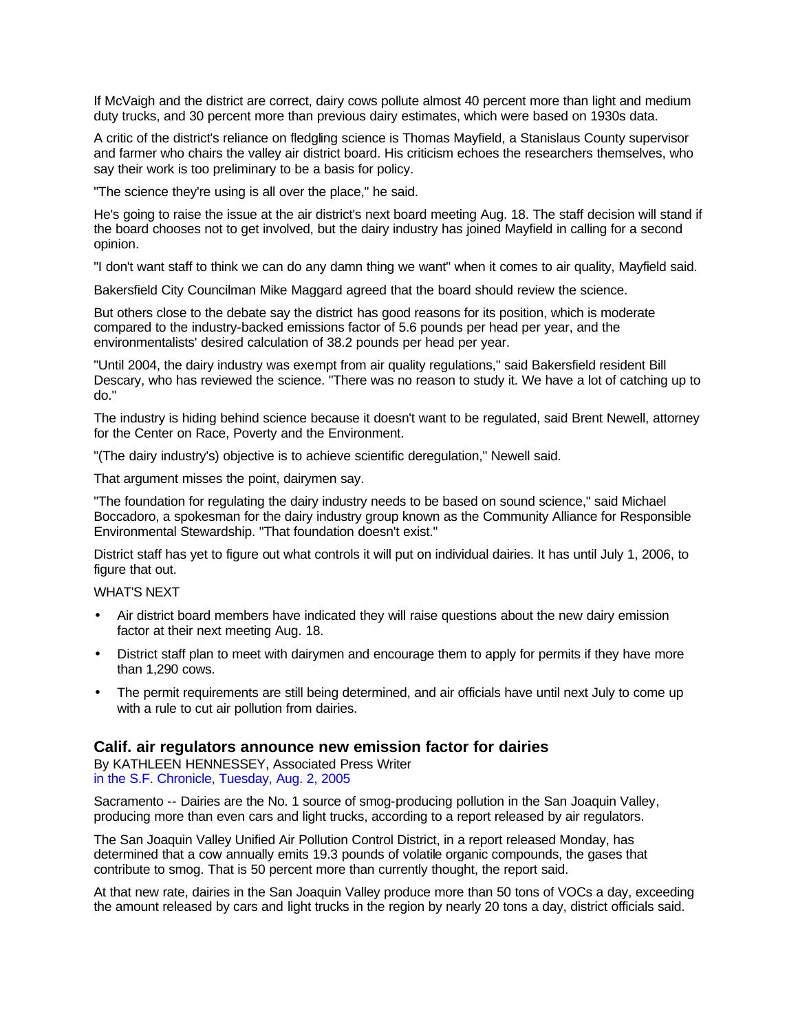If McVaigh and the district are correct, dairy cows pollute almost 40 percent more than light and medium duty trucks, and 30 percent more than previous dairy estimates, which were based on 1930s data.

A critic of the district's reliance on fledgling science is Thomas Mayfield, a Stanislaus County supervisor and farmer who chairs the valley air district board. His criticism echoes the researchers themselves, who say their work is too preliminary to be a basis for policy.

"The science they're using is all over the place," he said.

He's going to raise the issue at the air district's next board meeting Aug. 18. The staff decision will stand if the board chooses not to get involved, but the dairy industry has joined Mayfield in calling for a second opinion.

"I don't want staff to think we can do any damn thing we want" when it comes to air quality, Mayfield said.

Bakersfield City Councilman Mike Maggard agreed that the board should review the science.

But others close to the debate say the district has good reasons for its position, which is moderate compared to the industry-backed emissions factor of 5.6 pounds per head per year, and the environmentalists' desired calculation of 38.2 pounds per head per year.

"Until 2004, the dairy industry was exempt from air quality regulations," said Bakersfield resident Bill Descary, who has reviewed the science. "There was no reason to study it. We have a lot of catching up to do."

The industry is hiding behind science because it doesn't want to be regulated, said Brent Newell, attorney for the Center on Race, Poverty and the Environment.

"(The dairy industry's) objective is to achieve scientific deregulation," Newell said.

That argument misses the point, dairymen say.

"The foundation for regulating the dairy industry needs to be based on sound science," said Michael Boccadoro, a spokesman for the dairy industry group known as the Community Alliance for Responsible Environmental Stewardship. "That foundation doesn't exist."

District staff has yet to figure out what controls it will put on individual dairies. It has until July 1, 2006, to figure that out.

#### WHAT'S NEXT

- Air district board members have indicated they will raise questions about the new dairy emission factor at their next meeting Aug. 18.
- District staff plan to meet with dairymen and encourage them to apply for permits if they have more than 1,290 cows.
- The permit requirements are still being determined, and air officials have until next July to come up with a rule to cut air pollution from dairies.

## **Calif. air regulators announce new emission factor for dairies**

By KATHLEEN HENNESSEY, Associated Press Writer in the S.F. Chronicle, Tuesday, Aug. 2, 2005

Sacramento -- Dairies are the No. 1 source of smog-producing pollution in the San Joaquin Valley, producing more than even cars and light trucks, according to a report released by air regulators.

The San Joaquin Valley Unified Air Pollution Control District, in a report released Monday, has determined that a cow annually emits 19.3 pounds of volatile organic compounds, the gases that contribute to smog. That is 50 percent more than currently thought, the report said.

At that new rate, dairies in the San Joaquin Valley produce more than 50 tons of VOCs a day, exceeding the amount released by cars and light trucks in the region by nearly 20 tons a day, district officials said.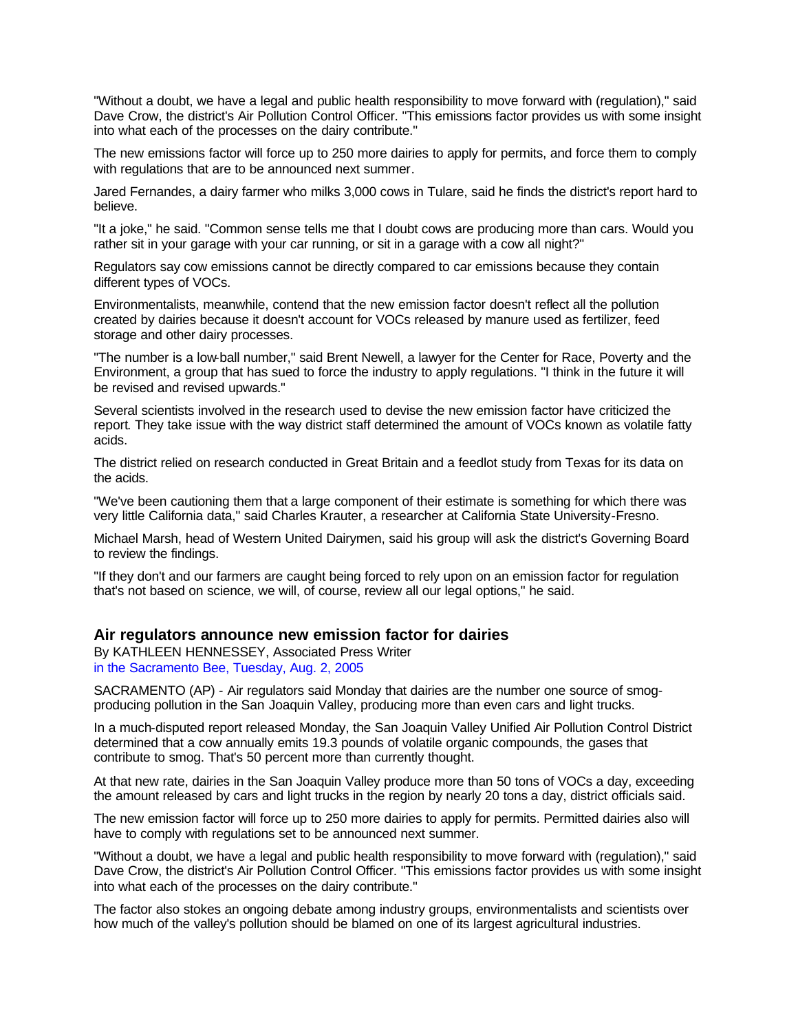"Without a doubt, we have a legal and public health responsibility to move forward with (regulation)," said Dave Crow, the district's Air Pollution Control Officer. "This emissions factor provides us with some insight into what each of the processes on the dairy contribute."

The new emissions factor will force up to 250 more dairies to apply for permits, and force them to comply with regulations that are to be announced next summer.

Jared Fernandes, a dairy farmer who milks 3,000 cows in Tulare, said he finds the district's report hard to believe.

"It a joke," he said. "Common sense tells me that I doubt cows are producing more than cars. Would you rather sit in your garage with your car running, or sit in a garage with a cow all night?"

Regulators say cow emissions cannot be directly compared to car emissions because they contain different types of VOCs.

Environmentalists, meanwhile, contend that the new emission factor doesn't reflect all the pollution created by dairies because it doesn't account for VOCs released by manure used as fertilizer, feed storage and other dairy processes.

"The number is a low-ball number," said Brent Newell, a lawyer for the Center for Race, Poverty and the Environment, a group that has sued to force the industry to apply regulations. "I think in the future it will be revised and revised upwards."

Several scientists involved in the research used to devise the new emission factor have criticized the report. They take issue with the way district staff determined the amount of VOCs known as volatile fatty acids.

The district relied on research conducted in Great Britain and a feedlot study from Texas for its data on the acids.

"We've been cautioning them that a large component of their estimate is something for which there was very little California data," said Charles Krauter, a researcher at California State University-Fresno.

Michael Marsh, head of Western United Dairymen, said his group will ask the district's Governing Board to review the findings.

"If they don't and our farmers are caught being forced to rely upon on an emission factor for regulation that's not based on science, we will, of course, review all our legal options," he said.

#### **Air regulators announce new emission factor for dairies**

By KATHLEEN HENNESSEY, Associated Press Writer in the Sacramento Bee, Tuesday, Aug. 2, 2005

SACRAMENTO (AP) - Air regulators said Monday that dairies are the number one source of smogproducing pollution in the San Joaquin Valley, producing more than even cars and light trucks.

In a much-disputed report released Monday, the San Joaquin Valley Unified Air Pollution Control District determined that a cow annually emits 19.3 pounds of volatile organic compounds, the gases that contribute to smog. That's 50 percent more than currently thought.

At that new rate, dairies in the San Joaquin Valley produce more than 50 tons of VOCs a day, exceeding the amount released by cars and light trucks in the region by nearly 20 tons a day, district officials said.

The new emission factor will force up to 250 more dairies to apply for permits. Permitted dairies also will have to comply with regulations set to be announced next summer.

"Without a doubt, we have a legal and public health responsibility to move forward with (regulation)," said Dave Crow, the district's Air Pollution Control Officer. "This emissions factor provides us with some insight into what each of the processes on the dairy contribute."

The factor also stokes an ongoing debate among industry groups, environmentalists and scientists over how much of the valley's pollution should be blamed on one of its largest agricultural industries.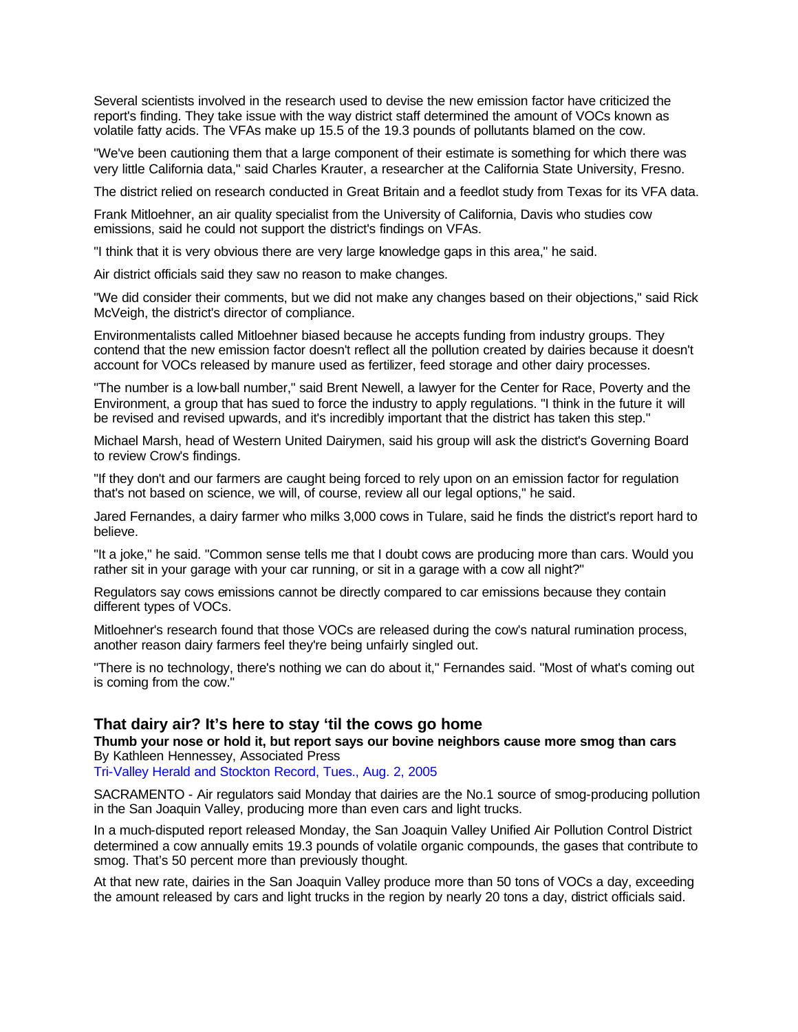Several scientists involved in the research used to devise the new emission factor have criticized the report's finding. They take issue with the way district staff determined the amount of VOCs known as volatile fatty acids. The VFAs make up 15.5 of the 19.3 pounds of pollutants blamed on the cow.

"We've been cautioning them that a large component of their estimate is something for which there was very little California data," said Charles Krauter, a researcher at the California State University, Fresno.

The district relied on research conducted in Great Britain and a feedlot study from Texas for its VFA data.

Frank Mitloehner, an air quality specialist from the University of California, Davis who studies cow emissions, said he could not support the district's findings on VFAs.

"I think that it is very obvious there are very large knowledge gaps in this area," he said.

Air district officials said they saw no reason to make changes.

"We did consider their comments, but we did not make any changes based on their objections," said Rick McVeigh, the district's director of compliance.

Environmentalists called Mitloehner biased because he accepts funding from industry groups. They contend that the new emission factor doesn't reflect all the pollution created by dairies because it doesn't account for VOCs released by manure used as fertilizer, feed storage and other dairy processes.

"The number is a low-ball number," said Brent Newell, a lawyer for the Center for Race, Poverty and the Environment, a group that has sued to force the industry to apply regulations. "I think in the future it will be revised and revised upwards, and it's incredibly important that the district has taken this step."

Michael Marsh, head of Western United Dairymen, said his group will ask the district's Governing Board to review Crow's findings.

"If they don't and our farmers are caught being forced to rely upon on an emission factor for regulation that's not based on science, we will, of course, review all our legal options," he said.

Jared Fernandes, a dairy farmer who milks 3,000 cows in Tulare, said he finds the district's report hard to believe.

"It a joke," he said. "Common sense tells me that I doubt cows are producing more than cars. Would you rather sit in your garage with your car running, or sit in a garage with a cow all night?"

Regulators say cows emissions cannot be directly compared to car emissions because they contain different types of VOCs.

Mitloehner's research found that those VOCs are released during the cow's natural rumination process, another reason dairy farmers feel they're being unfairly singled out.

"There is no technology, there's nothing we can do about it," Fernandes said. "Most of what's coming out is coming from the cow."

### **That dairy air? It's here to stay 'til the cows go home**

**Thumb your nose or hold it, but report says our bovine neighbors cause more smog than cars** By Kathleen Hennessey, Associated Press

Tri-Valley Herald and Stockton Record, Tues., Aug. 2, 2005

SACRAMENTO - Air regulators said Monday that dairies are the No.1 source of smog-producing pollution in the San Joaquin Valley, producing more than even cars and light trucks.

In a much-disputed report released Monday, the San Joaquin Valley Unified Air Pollution Control District determined a cow annually emits 19.3 pounds of volatile organic compounds, the gases that contribute to smog. That's 50 percent more than previously thought.

At that new rate, dairies in the San Joaquin Valley produce more than 50 tons of VOCs a day, exceeding the amount released by cars and light trucks in the region by nearly 20 tons a day, district officials said.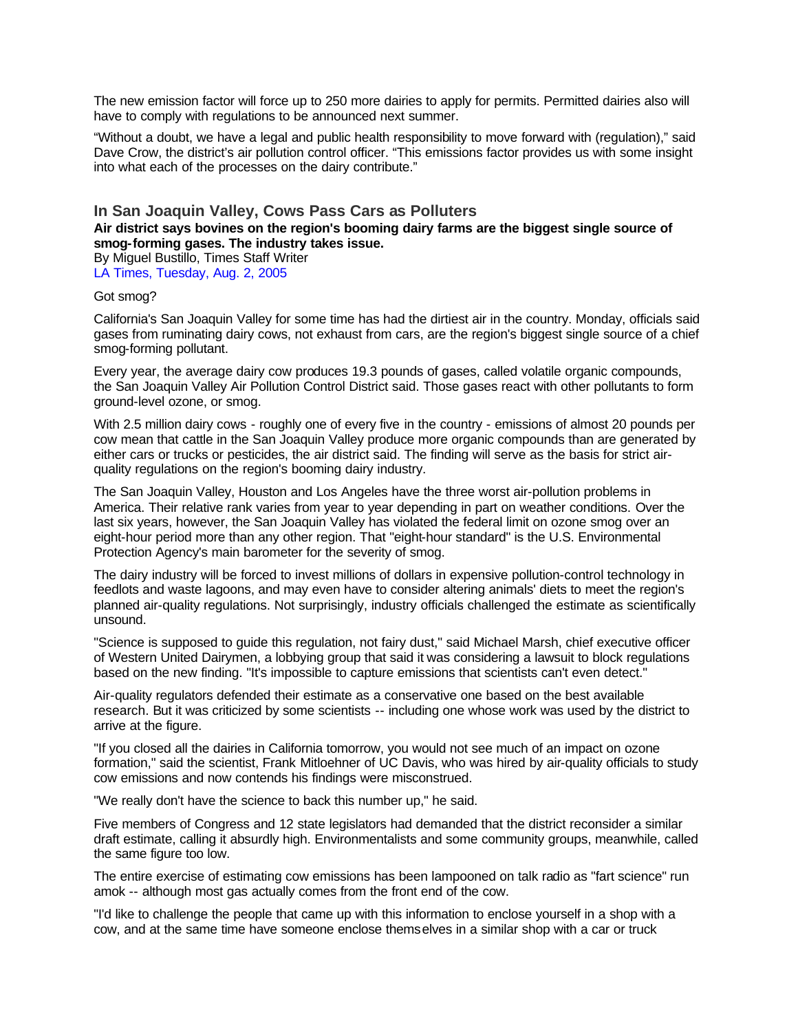The new emission factor will force up to 250 more dairies to apply for permits. Permitted dairies also will have to comply with regulations to be announced next summer.

"Without a doubt, we have a legal and public health responsibility to move forward with (regulation)," said Dave Crow, the district's air pollution control officer. "This emissions factor provides us with some insight into what each of the processes on the dairy contribute."

### **In San Joaquin Valley, Cows Pass Cars as Polluters**

**Air district says bovines on the region's booming dairy farms are the biggest single source of smog-forming gases. The industry takes issue.**

By Miguel Bustillo, Times Staff Writer LA Times, Tuesday, Aug. 2, 2005

#### Got smog?

California's San Joaquin Valley for some time has had the dirtiest air in the country. Monday, officials said gases from ruminating dairy cows, not exhaust from cars, are the region's biggest single source of a chief smog-forming pollutant.

Every year, the average dairy cow produces 19.3 pounds of gases, called volatile organic compounds, the San Joaquin Valley Air Pollution Control District said. Those gases react with other pollutants to form ground-level ozone, or smog.

With 2.5 million dairy cows - roughly one of every five in the country - emissions of almost 20 pounds per cow mean that cattle in the San Joaquin Valley produce more organic compounds than are generated by either cars or trucks or pesticides, the air district said. The finding will serve as the basis for strict airquality regulations on the region's booming dairy industry.

The San Joaquin Valley, Houston and Los Angeles have the three worst air-pollution problems in America. Their relative rank varies from year to year depending in part on weather conditions. Over the last six years, however, the San Joaquin Valley has violated the federal limit on ozone smog over an eight-hour period more than any other region. That "eight-hour standard" is the U.S. Environmental Protection Agency's main barometer for the severity of smog.

The dairy industry will be forced to invest millions of dollars in expensive pollution-control technology in feedlots and waste lagoons, and may even have to consider altering animals' diets to meet the region's planned air-quality regulations. Not surprisingly, industry officials challenged the estimate as scientifically unsound.

"Science is supposed to guide this regulation, not fairy dust," said Michael Marsh, chief executive officer of Western United Dairymen, a lobbying group that said it was considering a lawsuit to block regulations based on the new finding. "It's impossible to capture emissions that scientists can't even detect."

Air-quality regulators defended their estimate as a conservative one based on the best available research. But it was criticized by some scientists -- including one whose work was used by the district to arrive at the figure.

"If you closed all the dairies in California tomorrow, you would not see much of an impact on ozone formation," said the scientist, Frank Mitloehner of UC Davis, who was hired by air-quality officials to study cow emissions and now contends his findings were misconstrued.

"We really don't have the science to back this number up," he said.

Five members of Congress and 12 state legislators had demanded that the district reconsider a similar draft estimate, calling it absurdly high. Environmentalists and some community groups, meanwhile, called the same figure too low.

The entire exercise of estimating cow emissions has been lampooned on talk radio as "fart science" run amok -- although most gas actually comes from the front end of the cow.

"I'd like to challenge the people that came up with this information to enclose yourself in a shop with a cow, and at the same time have someone enclose themselves in a similar shop with a car or truck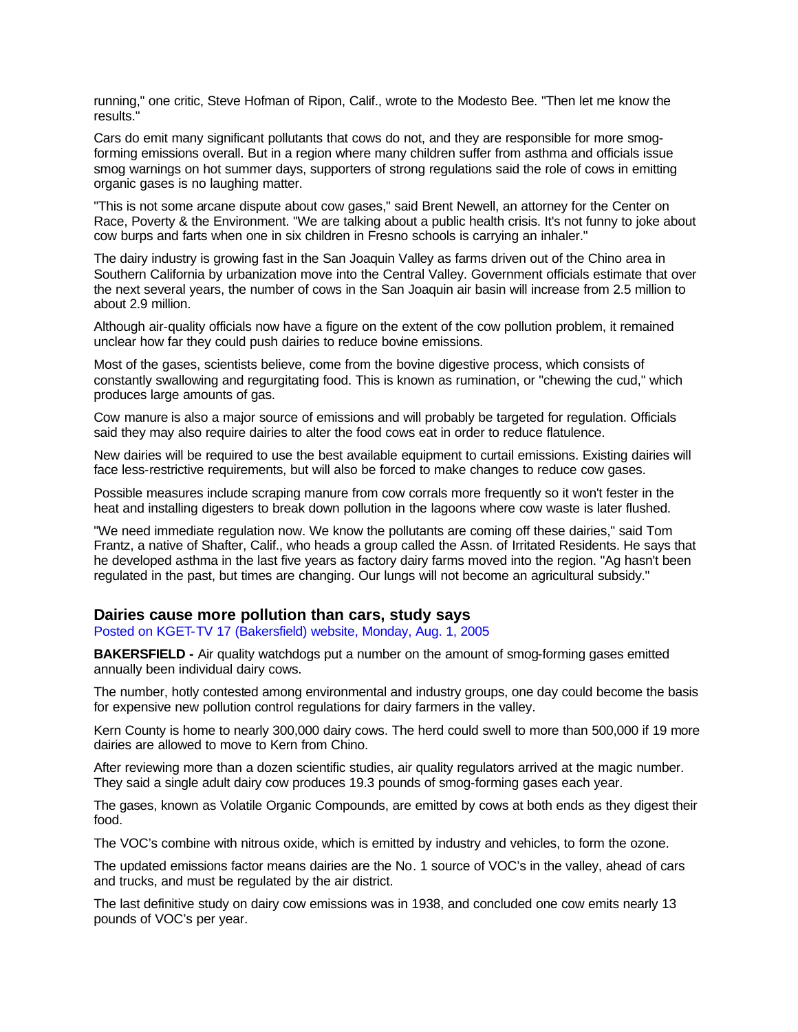running," one critic, Steve Hofman of Ripon, Calif., wrote to the Modesto Bee. "Then let me know the results."

Cars do emit many significant pollutants that cows do not, and they are responsible for more smogforming emissions overall. But in a region where many children suffer from asthma and officials issue smog warnings on hot summer days, supporters of strong regulations said the role of cows in emitting organic gases is no laughing matter.

"This is not some arcane dispute about cow gases," said Brent Newell, an attorney for the Center on Race, Poverty & the Environment. "We are talking about a public health crisis. It's not funny to joke about cow burps and farts when one in six children in Fresno schools is carrying an inhaler."

The dairy industry is growing fast in the San Joaquin Valley as farms driven out of the Chino area in Southern California by urbanization move into the Central Valley. Government officials estimate that over the next several years, the number of cows in the San Joaquin air basin will increase from 2.5 million to about 2.9 million.

Although air-quality officials now have a figure on the extent of the cow pollution problem, it remained unclear how far they could push dairies to reduce bovine emissions.

Most of the gases, scientists believe, come from the bovine digestive process, which consists of constantly swallowing and regurgitating food. This is known as rumination, or "chewing the cud," which produces large amounts of gas.

Cow manure is also a major source of emissions and will probably be targeted for regulation. Officials said they may also require dairies to alter the food cows eat in order to reduce flatulence.

New dairies will be required to use the best available equipment to curtail emissions. Existing dairies will face less-restrictive requirements, but will also be forced to make changes to reduce cow gases.

Possible measures include scraping manure from cow corrals more frequently so it won't fester in the heat and installing digesters to break down pollution in the lagoons where cow waste is later flushed.

"We need immediate regulation now. We know the pollutants are coming off these dairies," said Tom Frantz, a native of Shafter, Calif., who heads a group called the Assn. of Irritated Residents. He says that he developed asthma in the last five years as factory dairy farms moved into the region. "Ag hasn't been regulated in the past, but times are changing. Our lungs will not become an agricultural subsidy."

#### **Dairies cause more pollution than cars, study says**

Posted on KGET-TV 17 (Bakersfield) website, Monday, Aug. 1, 2005

**BAKERSFIELD -** Air quality watchdogs put a number on the amount of smog-forming gases emitted annually been individual dairy cows.

The number, hotly contested among environmental and industry groups, one day could become the basis for expensive new pollution control regulations for dairy farmers in the valley.

Kern County is home to nearly 300,000 dairy cows. The herd could swell to more than 500,000 if 19 more dairies are allowed to move to Kern from Chino.

After reviewing more than a dozen scientific studies, air quality regulators arrived at the magic number. They said a single adult dairy cow produces 19.3 pounds of smog-forming gases each year.

The gases, known as Volatile Organic Compounds, are emitted by cows at both ends as they digest their food.

The VOC's combine with nitrous oxide, which is emitted by industry and vehicles, to form the ozone.

The updated emissions factor means dairies are the No. 1 source of VOC's in the valley, ahead of cars and trucks, and must be regulated by the air district.

The last definitive study on dairy cow emissions was in 1938, and concluded one cow emits nearly 13 pounds of VOC's per year.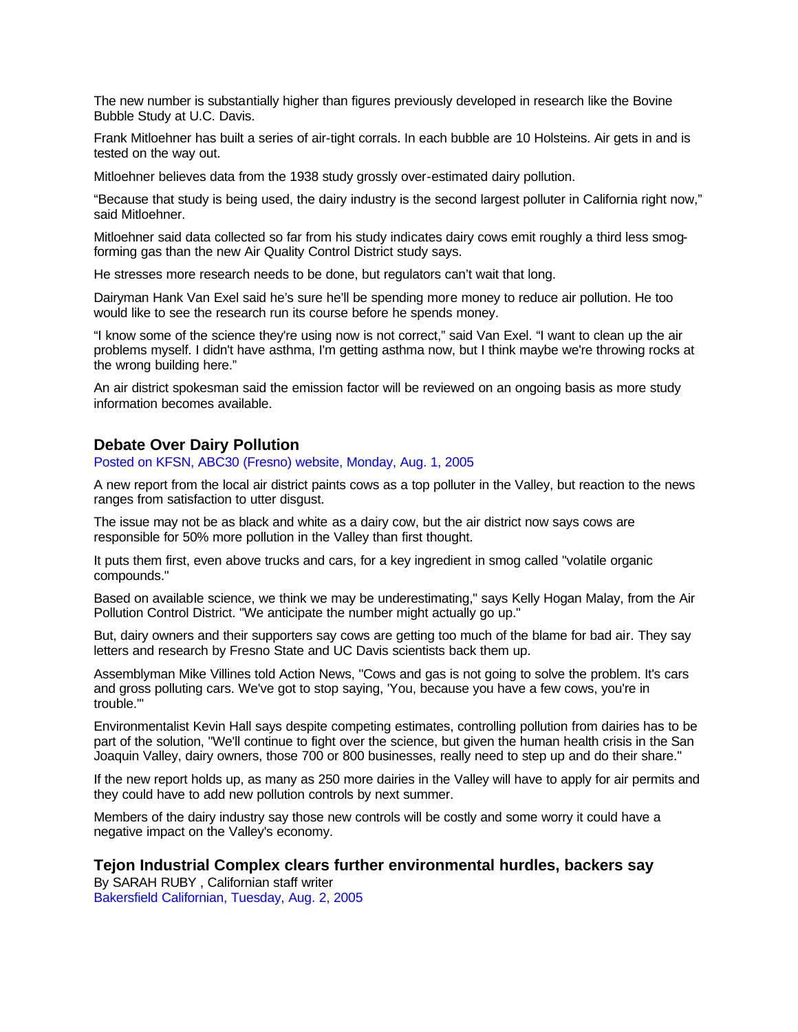The new number is substantially higher than figures previously developed in research like the Bovine Bubble Study at U.C. Davis.

Frank Mitloehner has built a series of air-tight corrals. In each bubble are 10 Holsteins. Air gets in and is tested on the way out.

Mitloehner believes data from the 1938 study grossly over-estimated dairy pollution.

"Because that study is being used, the dairy industry is the second largest polluter in California right now," said Mitloehner.

Mitloehner said data collected so far from his study indicates dairy cows emit roughly a third less smogforming gas than the new Air Quality Control District study says.

He stresses more research needs to be done, but regulators can't wait that long.

Dairyman Hank Van Exel said he's sure he'll be spending more money to reduce air pollution. He too would like to see the research run its course before he spends money.

"I know some of the science they're using now is not correct," said Van Exel. "I want to clean up the air problems myself. I didn't have asthma, I'm getting asthma now, but I think maybe we're throwing rocks at the wrong building here."

An air district spokesman said the emission factor will be reviewed on an ongoing basis as more study information becomes available.

### **Debate Over Dairy Pollution**

Posted on KFSN, ABC30 (Fresno) website, Monday, Aug. 1, 2005

A new report from the local air district paints cows as a top polluter in the Valley, but reaction to the news ranges from satisfaction to utter disgust.

The issue may not be as black and white as a dairy cow, but the air district now says cows are responsible for 50% more pollution in the Valley than first thought.

It puts them first, even above trucks and cars, for a key ingredient in smog called "volatile organic compounds."

Based on available science, we think we may be underestimating," says Kelly Hogan Malay, from the Air Pollution Control District. "We anticipate the number might actually go up."

But, dairy owners and their supporters say cows are getting too much of the blame for bad air. They say letters and research by Fresno State and UC Davis scientists back them up.

Assemblyman Mike Villines told Action News, "Cows and gas is not going to solve the problem. It's cars and gross polluting cars. We've got to stop saying, 'You, because you have a few cows, you're in trouble.'"

Environmentalist Kevin Hall says despite competing estimates, controlling pollution from dairies has to be part of the solution, "We'll continue to fight over the science, but given the human health crisis in the San Joaquin Valley, dairy owners, those 700 or 800 businesses, really need to step up and do their share."

If the new report holds up, as many as 250 more dairies in the Valley will have to apply for air permits and they could have to add new pollution controls by next summer.

Members of the dairy industry say those new controls will be costly and some worry it could have a negative impact on the Valley's economy.

## **Tejon Industrial Complex clears further environmental hurdles, backers say**

By SARAH RUBY , Californian staff writer Bakersfield Californian, Tuesday, Aug. 2, 2005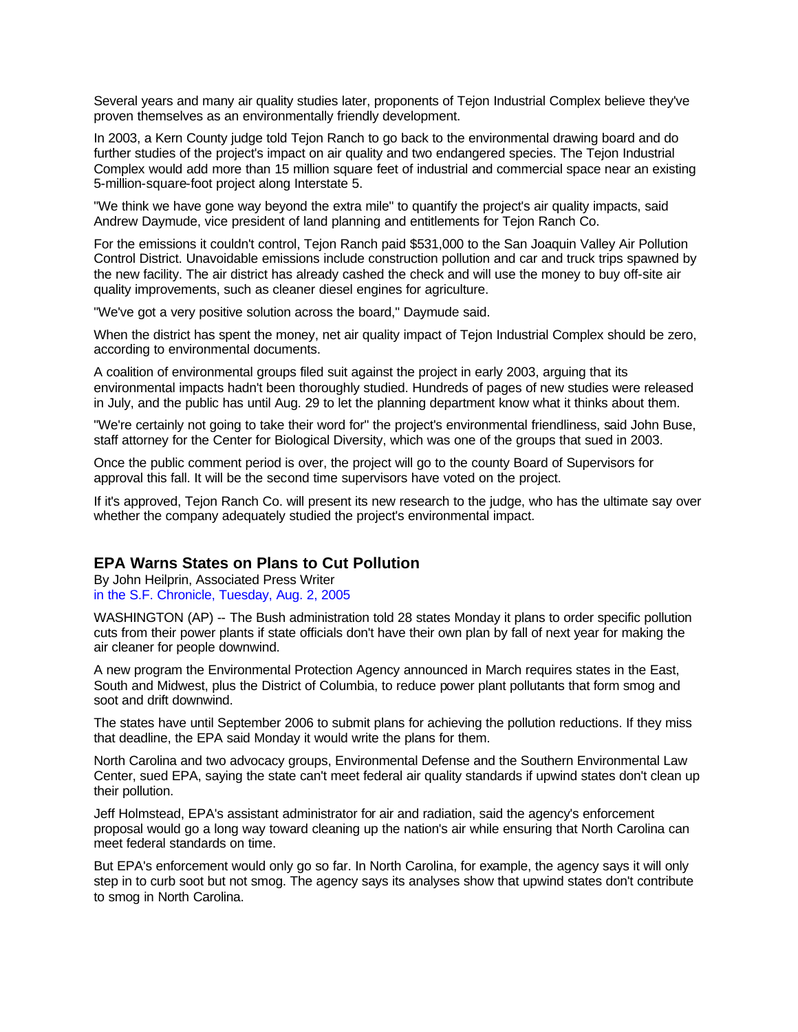Several years and many air quality studies later, proponents of Tejon Industrial Complex believe they've proven themselves as an environmentally friendly development.

In 2003, a Kern County judge told Tejon Ranch to go back to the environmental drawing board and do further studies of the project's impact on air quality and two endangered species. The Tejon Industrial Complex would add more than 15 million square feet of industrial and commercial space near an existing 5-million-square-foot project along Interstate 5.

"We think we have gone way beyond the extra mile" to quantify the project's air quality impacts, said Andrew Daymude, vice president of land planning and entitlements for Tejon Ranch Co.

For the emissions it couldn't control, Tejon Ranch paid \$531,000 to the San Joaquin Valley Air Pollution Control District. Unavoidable emissions include construction pollution and car and truck trips spawned by the new facility. The air district has already cashed the check and will use the money to buy off-site air quality improvements, such as cleaner diesel engines for agriculture.

"We've got a very positive solution across the board," Daymude said.

When the district has spent the money, net air quality impact of Tejon Industrial Complex should be zero, according to environmental documents.

A coalition of environmental groups filed suit against the project in early 2003, arguing that its environmental impacts hadn't been thoroughly studied. Hundreds of pages of new studies were released in July, and the public has until Aug. 29 to let the planning department know what it thinks about them.

"We're certainly not going to take their word for" the project's environmental friendliness, said John Buse, staff attorney for the Center for Biological Diversity, which was one of the groups that sued in 2003.

Once the public comment period is over, the project will go to the county Board of Supervisors for approval this fall. It will be the second time supervisors have voted on the project.

If it's approved, Tejon Ranch Co. will present its new research to the judge, who has the ultimate say over whether the company adequately studied the project's environmental impact.

## **EPA Warns States on Plans to Cut Pollution**

By John Heilprin, Associated Press Writer in the S.F. Chronicle, Tuesday, Aug. 2, 2005

WASHINGTON (AP) -- The Bush administration told 28 states Monday it plans to order specific pollution cuts from their power plants if state officials don't have their own plan by fall of next year for making the air cleaner for people downwind.

A new program the Environmental Protection Agency announced in March requires states in the East, South and Midwest, plus the District of Columbia, to reduce power plant pollutants that form smog and soot and drift downwind.

The states have until September 2006 to submit plans for achieving the pollution reductions. If they miss that deadline, the EPA said Monday it would write the plans for them.

North Carolina and two advocacy groups, Environmental Defense and the Southern Environmental Law Center, sued EPA, saying the state can't meet federal air quality standards if upwind states don't clean up their pollution.

Jeff Holmstead, EPA's assistant administrator for air and radiation, said the agency's enforcement proposal would go a long way toward cleaning up the nation's air while ensuring that North Carolina can meet federal standards on time.

But EPA's enforcement would only go so far. In North Carolina, for example, the agency says it will only step in to curb soot but not smog. The agency says its analyses show that upwind states don't contribute to smog in North Carolina.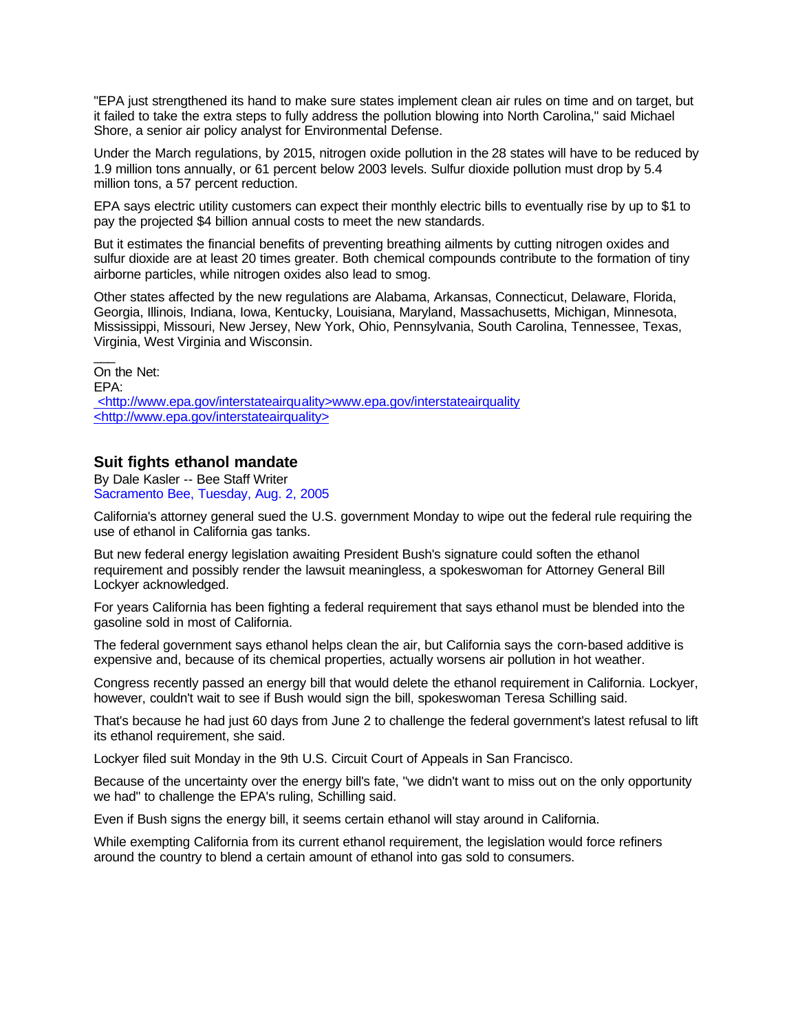"EPA just strengthened its hand to make sure states implement clean air rules on time and on target, but it failed to take the extra steps to fully address the pollution blowing into North Carolina," said Michael Shore, a senior air policy analyst for Environmental Defense.

Under the March regulations, by 2015, nitrogen oxide pollution in the 28 states will have to be reduced by 1.9 million tons annually, or 61 percent below 2003 levels. Sulfur dioxide pollution must drop by 5.4 million tons, a 57 percent reduction.

EPA says electric utility customers can expect their monthly electric bills to eventually rise by up to \$1 to pay the projected \$4 billion annual costs to meet the new standards.

But it estimates the financial benefits of preventing breathing ailments by cutting nitrogen oxides and sulfur dioxide are at least 20 times greater. Both chemical compounds contribute to the formation of tiny airborne particles, while nitrogen oxides also lead to smog.

Other states affected by the new regulations are Alabama, Arkansas, Connecticut, Delaware, Florida, Georgia, Illinois, Indiana, Iowa, Kentucky, Louisiana, Maryland, Massachusetts, Michigan, Minnesota, Mississippi, Missouri, New Jersey, New York, Ohio, Pennsylvania, South Carolina, Tennessee, Texas, Virginia, West Virginia and Wisconsin.

On the Net: EPA: <http://www.epa.gov/interstateairquality>www.epa.gov/interstateairquality <http://www.epa.gov/interstateairquality>

# **Suit fights ethanol mandate**

 $\overline{a}$ 

By Dale Kasler -- Bee Staff Writer Sacramento Bee, Tuesday, Aug. 2, 2005

California's attorney general sued the U.S. government Monday to wipe out the federal rule requiring the use of ethanol in California gas tanks.

But new federal energy legislation awaiting President Bush's signature could soften the ethanol requirement and possibly render the lawsuit meaningless, a spokeswoman for Attorney General Bill Lockyer acknowledged.

For years California has been fighting a federal requirement that says ethanol must be blended into the gasoline sold in most of California.

The federal government says ethanol helps clean the air, but California says the corn-based additive is expensive and, because of its chemical properties, actually worsens air pollution in hot weather.

Congress recently passed an energy bill that would delete the ethanol requirement in California. Lockyer, however, couldn't wait to see if Bush would sign the bill, spokeswoman Teresa Schilling said.

That's because he had just 60 days from June 2 to challenge the federal government's latest refusal to lift its ethanol requirement, she said.

Lockyer filed suit Monday in the 9th U.S. Circuit Court of Appeals in San Francisco.

Because of the uncertainty over the energy bill's fate, "we didn't want to miss out on the only opportunity we had" to challenge the EPA's ruling, Schilling said.

Even if Bush signs the energy bill, it seems certain ethanol will stay around in California.

While exempting California from its current ethanol requirement, the legislation would force refiners around the country to blend a certain amount of ethanol into gas sold to consumers.